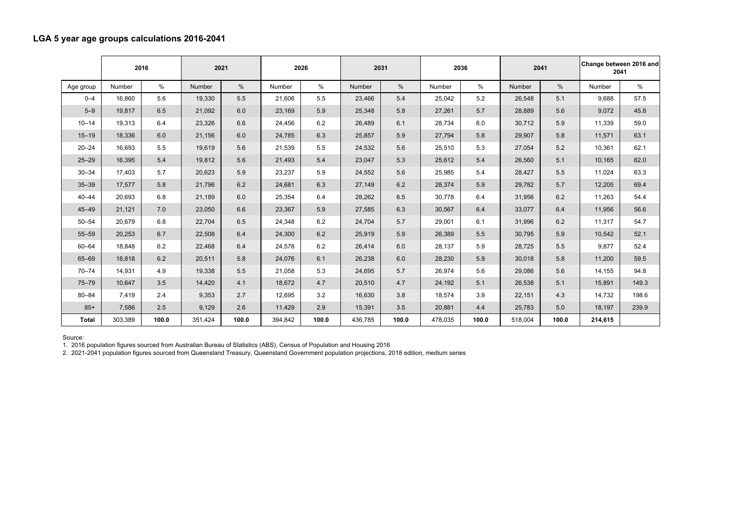## **LGA 5 year age groups calculations 2016-2041**

|              | 2016    |       | 2021    |       | 2026    |       | 2031    |       | 2036    |       | 2041    |       | Change between 2016 and<br>2041 |       |
|--------------|---------|-------|---------|-------|---------|-------|---------|-------|---------|-------|---------|-------|---------------------------------|-------|
| Age group    | Number  | $\%$  | Number  | %     | Number  | $\%$  | Number  | $\%$  | Number  | %     | Number  | %     | Number                          | %     |
| $0 - 4$      | 16,860  | 5.6   | 19,330  | 5.5   | 21,606  | 5.5   | 23,466  | 5.4   | 25,042  | 5.2   | 26,548  | 5.1   | 9,688                           | 57.5  |
| $5 - 9$      | 19,817  | 6.5   | 21,092  | 6.0   | 23,169  | 5.9   | 25,348  | 5.8   | 27,261  | 5.7   | 28,889  | 5.6   | 9,072                           | 45.8  |
| $10 - 14$    | 19,313  | 6.4   | 23,326  | 6.6   | 24,456  | 6.2   | 26,489  | 6.1   | 28,734  | 6.0   | 30,712  | 5.9   | 11,339                          | 59.0  |
| $15 - 19$    | 18,336  | 6.0   | 21,156  | 6.0   | 24,785  | 6.3   | 25,857  | 5.9   | 27,794  | 5.8   | 29,907  | 5.8   | 11,571                          | 63.1  |
| $20 - 24$    | 16,693  | 5.5   | 19,619  | 5.6   | 21,539  | 5.5   | 24,532  | 5.6   | 25,510  | 5.3   | 27,054  | 5.2   | 10,361                          | 62.1  |
| $25 - 29$    | 16,395  | 5.4   | 19,812  | 5.6   | 21,493  | 5.4   | 23,047  | 5.3   | 25,612  | 5.4   | 26,560  | 5.1   | 10,165                          | 62.0  |
| $30 - 34$    | 17,403  | 5.7   | 20,623  | 5.9   | 23,237  | 5.9   | 24,552  | 5.6   | 25,985  | 5.4   | 28,427  | 5.5   | 11,024                          | 63.3  |
| $35 - 39$    | 17,577  | 5.8   | 21,796  | 6.2   | 24,681  | 6.3   | 27,149  | 6.2   | 28,374  | 5.9   | 29,782  | 5.7   | 12,205                          | 69.4  |
| $40 - 44$    | 20,693  | 6.8   | 21,189  | 6.0   | 25,354  | 6.4   | 28,262  | 6.5   | 30,778  | 6.4   | 31,956  | 6.2   | 11,263                          | 54.4  |
| $45 - 49$    | 21,121  | 7.0   | 23,050  | 6.6   | 23,367  | 5.9   | 27,585  | 6.3   | 30,567  | 6.4   | 33,077  | 6.4   | 11,956                          | 56.6  |
| $50 - 54$    | 20,679  | 6.8   | 22,704  | 6.5   | 24,348  | 6.2   | 24,704  | 5.7   | 29,001  | 6.1   | 31,996  | 6.2   | 11,317                          | 54.7  |
| 55-59        | 20,253  | 6.7   | 22,508  | 6.4   | 24,300  | 6.2   | 25,919  | 5.9   | 26,389  | 5.5   | 30,795  | 5.9   | 10,542                          | 52.1  |
| $60 - 64$    | 18,848  | 6.2   | 22,468  | 6.4   | 24,578  | 6.2   | 26,414  | 6.0   | 28,137  | 5.9   | 28,725  | 5.5   | 9,877                           | 52.4  |
| 65-69        | 18,818  | 6.2   | 20,511  | 5.8   | 24,076  | 6.1   | 26,238  | 6.0   | 28,230  | 5.9   | 30,018  | 5.8   | 11,200                          | 59.5  |
| $70 - 74$    | 14,931  | 4.9   | 19,338  | 5.5   | 21,058  | 5.3   | 24,695  | 5.7   | 26,974  | 5.6   | 29,086  | 5.6   | 14,155                          | 94.8  |
| $75 - 79$    | 10,647  | 3.5   | 14,420  | 4.1   | 18,672  | 4.7   | 20,510  | 4.7   | 24,192  | 5.1   | 26,538  | 5.1   | 15,891                          | 149.3 |
| $80 - 84$    | 7,419   | 2.4   | 9,353   | 2.7   | 12,695  | 3.2   | 16,630  | 3.8   | 18,574  | 3.9   | 22,151  | 4.3   | 14,732                          | 198.6 |
| $85+$        | 7,586   | 2.5   | 9,129   | 2.6   | 11,429  | 2.9   | 15,391  | 3.5   | 20,881  | 4.4   | 25,783  | 5.0   | 18,197                          | 239.9 |
| <b>Total</b> | 303,389 | 100.0 | 351,424 | 100.0 | 394,842 | 100.0 | 436,785 | 100.0 | 478,035 | 100.0 | 518,004 | 100.0 | 214,615                         |       |

Source:

1. 2016 population figures sourced from Australian Bureau of Statistics (ABS), Census of Population and Housing 2016

2. 2021-2041 population figures sourced from Queensland Treasury, Queensland Government population projections, 2018 edition, medium series